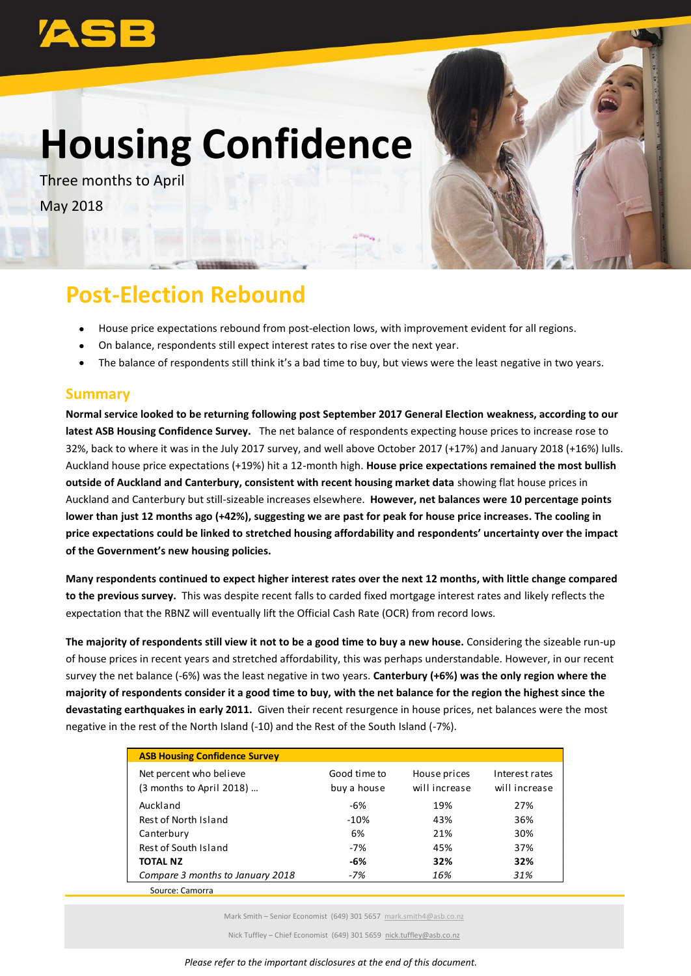# **Housing Confidence**

Three months to April May 2018



## **Post-Election Rebound**

- House price expectations rebound from post-election lows, with improvement evident for all regions.
- On balance, respondents still expect interest rates to rise over the next year.
- The balance of respondents still think it's a bad time to buy, but views were the least negative in two years.

#### **Summary**

**Normal service looked to be returning following post September 2017 General Election weakness, according to our latest ASB Housing Confidence Survey.** The net balance of respondents expecting house prices to increase rose to 32%, back to where it was in the July 2017 survey, and well above October 2017 (+17%) and January 2018 (+16%) lulls. Auckland house price expectations (+19%) hit a 12-month high. **House price expectations remained the most bullish outside of Auckland and Canterbury, consistent with recent housing market data** showing flat house prices in Auckland and Canterbury but still-sizeable increases elsewhere. **However, net balances were 10 percentage points lower than just 12 months ago (+42%), suggesting we are past for peak for house price increases. The cooling in price expectations could be linked to stretched housing affordability and respondents' uncertainty over the impact of the Government's new housing policies.** 

**Many respondents continued to expect higher interest rates over the next 12 months, with little change compared to the previous survey.** This was despite recent falls to carded fixed mortgage interest rates and likely reflects the expectation that the RBNZ will eventually lift the Official Cash Rate (OCR) from record lows.

**The majority of respondents still view it not to be a good time to buy a new house.** Considering the sizeable run-up of house prices in recent years and stretched affordability, this was perhaps understandable. However, in our recent survey the net balance (-6%) was the least negative in two years. **Canterbury (+6%) was the only region where the majority of respondents consider it a good time to buy, with the net balance for the region the highest since the devastating earthquakes in early 2011.** Given their recent resurgence in house prices, net balances were the most negative in the rest of the North Island (-10) and the Rest of the South Island (-7%).

| <b>ASB Housing Confidence Survey</b>                |                             |                               |                                 |
|-----------------------------------------------------|-----------------------------|-------------------------------|---------------------------------|
| Net percent who believe<br>(3 months to April 2018) | Good time to<br>buy a house | House prices<br>will increase | Interest rates<br>will increase |
| Auckland                                            | $-6%$                       | 19%                           | 27%                             |
| Rest of North Island                                | $-10%$                      | 43%                           | 36%                             |
| Canterbury                                          | 6%                          | 21%                           | 30%                             |
| Rest of South Island                                | $-7%$                       | 45%                           | 37%                             |
| <b>TOTAL NZ</b>                                     | -6%                         | 32%                           | 32%                             |
| Compare 3 months to January 2018                    | $-7%$                       | 16%                           | 31%                             |
| Source: Camorra                                     |                             |                               |                                 |

Mark Smith – Senior Economist (649) 301 5657 [mark.smith4@asb.co.nz](mailto:mark.smith4@asb.co.nz)

Nick Tuffley – Chief Economist (649) 301 5659 [nick.tuffley@asb.co.nz](mailto:nick.tuffley@asb.co.nz)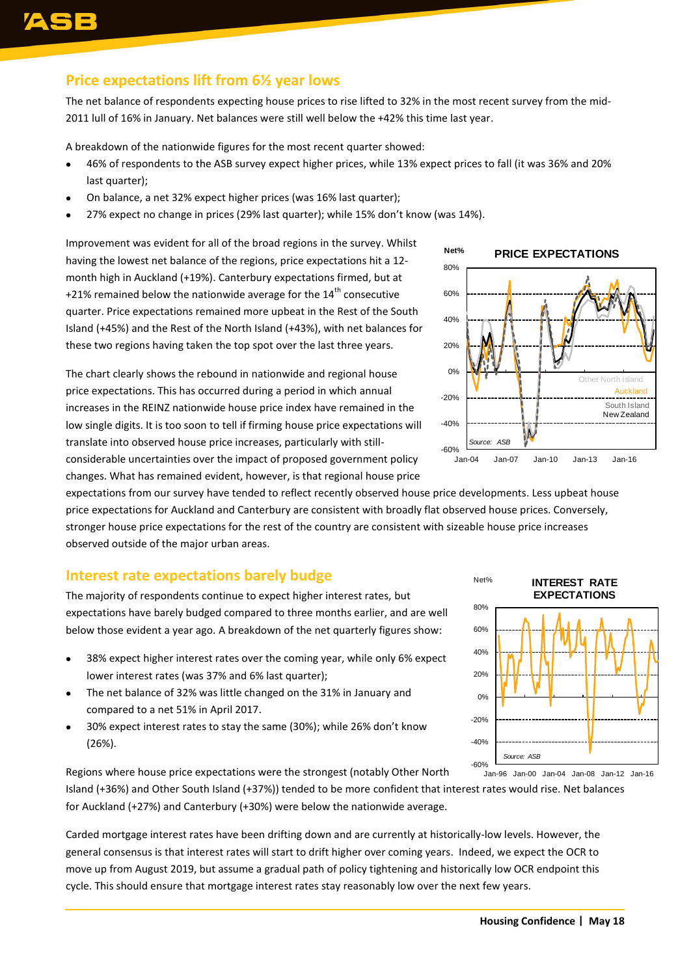#### **Price expectations lift from 6½ year lows**

The net balance of respondents expecting house prices to rise lifted to 32% in the most recent survey from the mid-2011 lull of 16% in January. Net balances were still well below the +42% this time last year.

A breakdown of the nationwide figures for the most recent quarter showed:

- 46% of respondents to the ASB survey expect higher prices, while 13% expect prices to fall (it was 36% and 20% last quarter);
- On balance, a net 32% expect higher prices (was 16% last quarter);
- 27% expect no change in prices (29% last quarter); while 15% don't know (was 14%).

Improvement was evident for all of the broad regions in the survey. Whilst having the lowest net balance of the regions, price expectations hit a 12 month high in Auckland (+19%). Canterbury expectations firmed, but at +21% remained below the nationwide average for the  $14<sup>th</sup>$  consecutive quarter. Price expectations remained more upbeat in the Rest of the South Island (+45%) and the Rest of the North Island (+43%), with net balances for these two regions having taken the top spot over the last three years.

The chart clearly shows the rebound in nationwide and regional house price expectations. This has occurred during a period in which annual increases in the REINZ nationwide house price index have remained in the low single digits. It is too soon to tell if firming house price expectations will translate into observed house price increases, particularly with stillconsiderable uncertainties over the impact of proposed government policy changes. What has remained evident, however, is that regional house price



expectations from our survey have tended to reflect recently observed house price developments. Less upbeat house price expectations for Auckland and Canterbury are consistent with broadly flat observed house prices. Conversely, stronger house price expectations for the rest of the country are consistent with sizeable house price increases observed outside of the major urban areas.

#### **Interest rate expectations barely budge**

The majority of respondents continue to expect higher interest rates, but expectations have barely budged compared to three months earlier, and are well below those evident a year ago. A breakdown of the net quarterly figures show:

- 38% expect higher interest rates over the coming year, while only 6% expect lower interest rates (was 37% and 6% last quarter);
- The net balance of 32% was little changed on the 31% in January and compared to a net 51% in April 2017.
- 30% expect interest rates to stay the same (30%); while 26% don't know (26%).

Regions where house price expectations were the strongest (notably Other North

Island (+36%) and Other South Island (+37%)) tended to be more confident that interest rates would rise. Net balances for Auckland (+27%) and Canterbury (+30%) were below the nationwide average.

Carded mortgage interest rates have been drifting down and are currently at historically-low levels. However, the general consensus is that interest rates will start to drift higher over coming years. Indeed, we expect the OCR to move up from August 2019, but assume a gradual path of policy tightening and historically low OCR endpoint this cycle. This should ensure that mortgage interest rates stay reasonably low over the next few years.

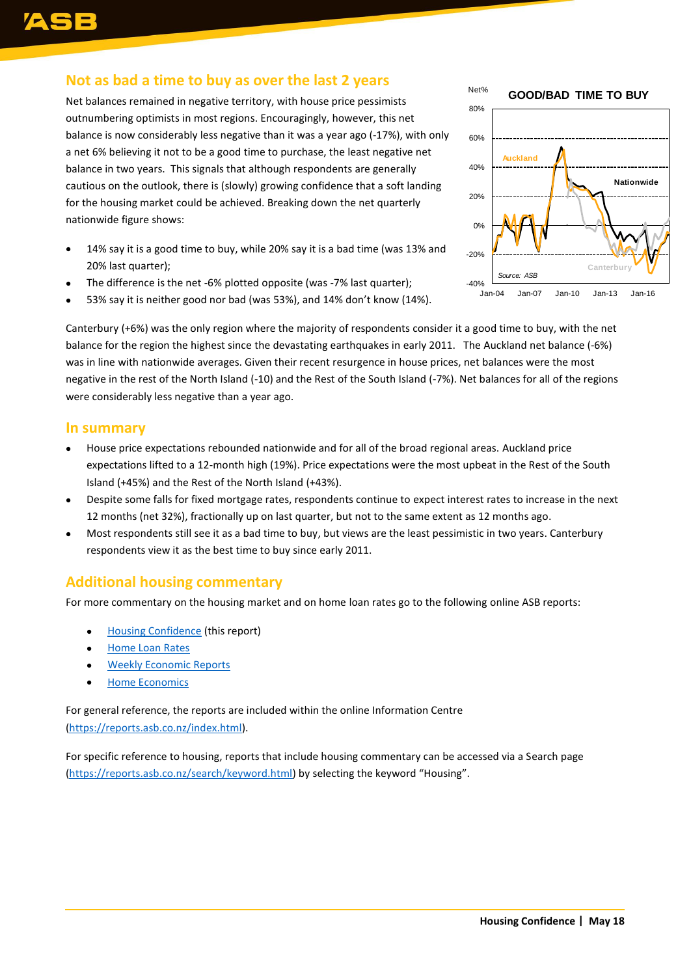### **Not as bad a time to buy as over the last 2 years**

Net balances remained in negative territory, with house price pessimists outnumbering optimists in most regions. Encouragingly, however, this net balance is now considerably less negative than it was a year ago (-17%), with only a net 6% believing it not to be a good time to purchase, the least negative net balance in two years. This signals that although respondents are generally cautious on the outlook, there is (slowly) growing confidence that a soft landing for the housing market could be achieved. Breaking down the net quarterly nationwide figure shows:

- 14% say it is a good time to buy, while 20% say it is a bad time (was 13% and 20% last quarter);
- The difference is the net -6% plotted opposite (was -7% last quarter);
- 53% say it is neither good nor bad (was 53%), and 14% don't know (14%).

-40% -20% 0% 20% 40% 60% 80% Jan-04 Jan-07 Jan-10 Jan-13 Jan-16 *Source: ASB*  Net% **GOOD/BAD TIME TO BUY Nationwide Auckland Canterbury**

Canterbury (+6%) was the only region where the majority of respondents consider it a good time to buy, with the net balance for the region the highest since the devastating earthquakes in early 2011.The Auckland net balance (-6%) was in line with nationwide averages. Given their recent resurgence in house prices, net balances were the most negative in the rest of the North Island (-10) and the Rest of the South Island (-7%). Net balances for all of the regions were considerably less negative than a year ago.

#### **In summary**

- House price expectations rebounded nationwide and for all of the broad regional areas. Auckland price expectations lifted to a 12-month high (19%). Price expectations were the most upbeat in the Rest of the South Island (+45%) and the Rest of the North Island (+43%).
- Despite some falls for fixed mortgage rates, respondents continue to expect interest rates to increase in the next 12 months (net 32%), fractionally up on last quarter, but not to the same extent as 12 months ago.
- Most respondents still see it as a bad time to buy, but views are the least pessimistic in two years. Canterbury respondents view it as the best time to buy since early 2011.

#### **Additional housing commentary**

For more commentary on the housing market and on home loan rates go to the following online ASB reports:

- [Housing Confidence](https://www.asb.co.nz/documents/economic-research/housing-confidence.html) (this report)
- [Home Loan Rates](https://www.asb.co.nz/documents/economic-research/home-loan-rate-report.html)
- [Weekly Economic Reports](https://www.asb.co.nz/documents/economic-research/economic-weekly.html)
- **•** [Home Economics](https://www.asb.co.nz/documents/economic-research/home-economics.html)

For general reference, the reports are included within the online Information Centre [\(https://reports.asb.co.nz/index.html\)](https://reports.asb.co.nz/index.html).

For specific reference to housing, reports that include housing commentary can be accessed via a Search page [\(https://reports.asb.co.nz/search/keyword.html\)](https://reports.asb.co.nz/search/keyword.html) by selecting the keyword "Housing".